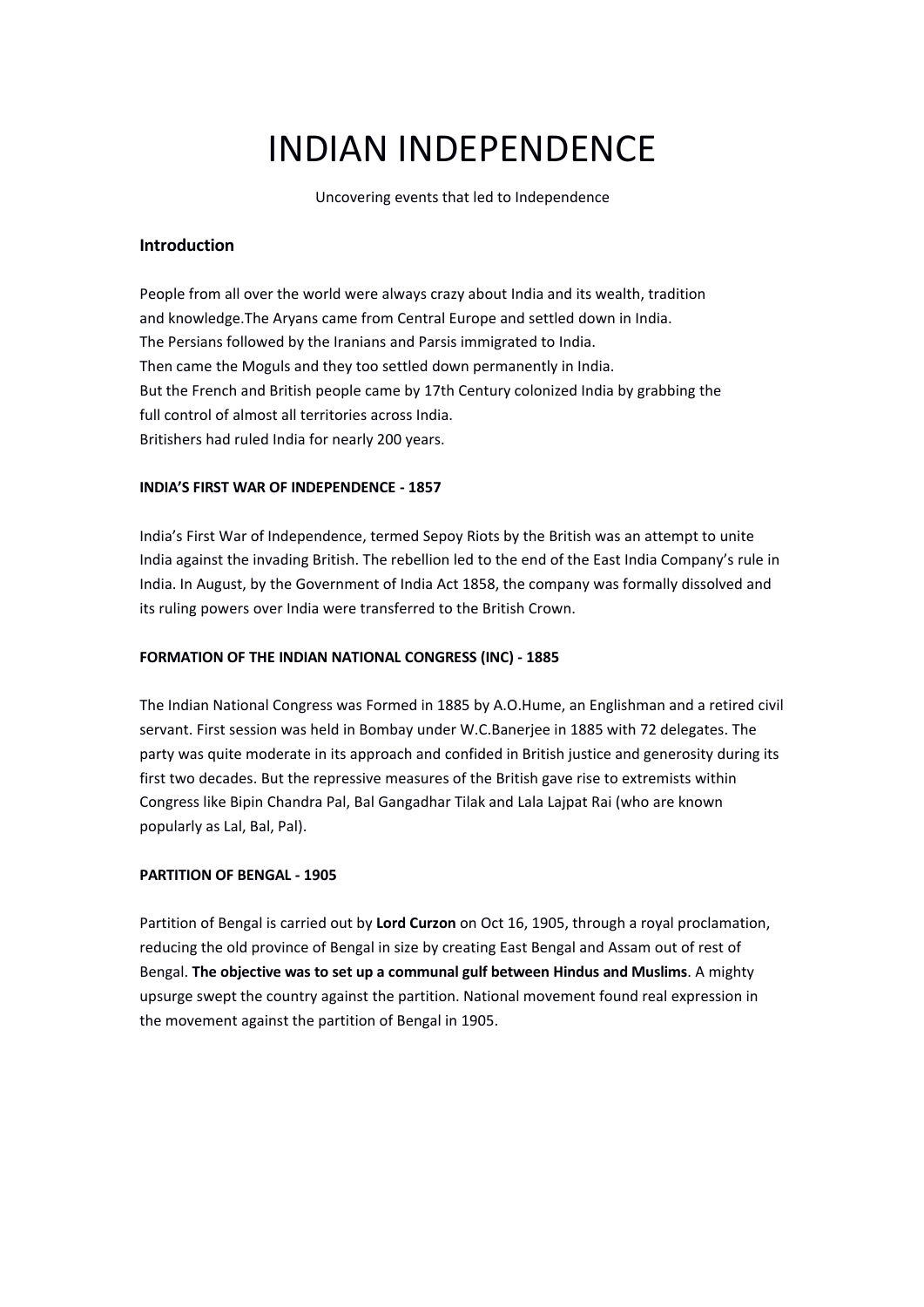# INDIAN INDEPENDENCE

Uncovering events that led to Independence

# **Introduction**

People from all over the world were always crazy about India and its wealth, tradition and knowledge.The Aryans came from Central Europe and settled down in India. The Persians followed by the Iranians and Parsis immigrated to India. Then came the Moguls and they too settled down permanently in India. But the French and British people came by 17th Century colonized India by grabbing the full control of almost all territories across India. Britishers had ruled India for nearly 200 years.

# **INDIA'S FIRST WAR OF INDEPENDENCE - 1857**

India's First War of Independence, termed Sepoy Riots by the British was an attempt to unite India against the invading British. The rebellion led to the end of the East India Company's rule in India. In August, by the Government of India Act 1858, the company was formally dissolved and its ruling powers over India were transferred to the British Crown.

# **FORMATION OF THE INDIAN NATIONALCONGRESS (INC) - 1885**

The Indian National Congress was Formed in 1885 by A.O.Hume, an Englishman and a retired civil servant. First session was held in Bombay under W.C.Banerjee in 1885 with 72 delegates. The party was quite moderate in its approach and confided in British justice and generosity during its first two decades. But the repressive measures of the British gave rise to extremists within Congress like Bipin Chandra Pal, Bal Gangadhar Tilak and Lala Lajpat Rai (who are known popularly as Lal, Bal, Pal).

# **PARTITION OF BENGAL - 1905**

Partition of Bengal is carried out by **Lord Curzon** on Oct 16, 1905, through a royal proclamation, reducing the old province of Bengal in size by creating East Bengal and Assam out of rest of Bengal. **The objective was to set up a communal gulf between Hindus and Muslims**. A mighty upsurge swept the country against the partition. National movement found real expression in the movement against the partition of Bengal in 1905.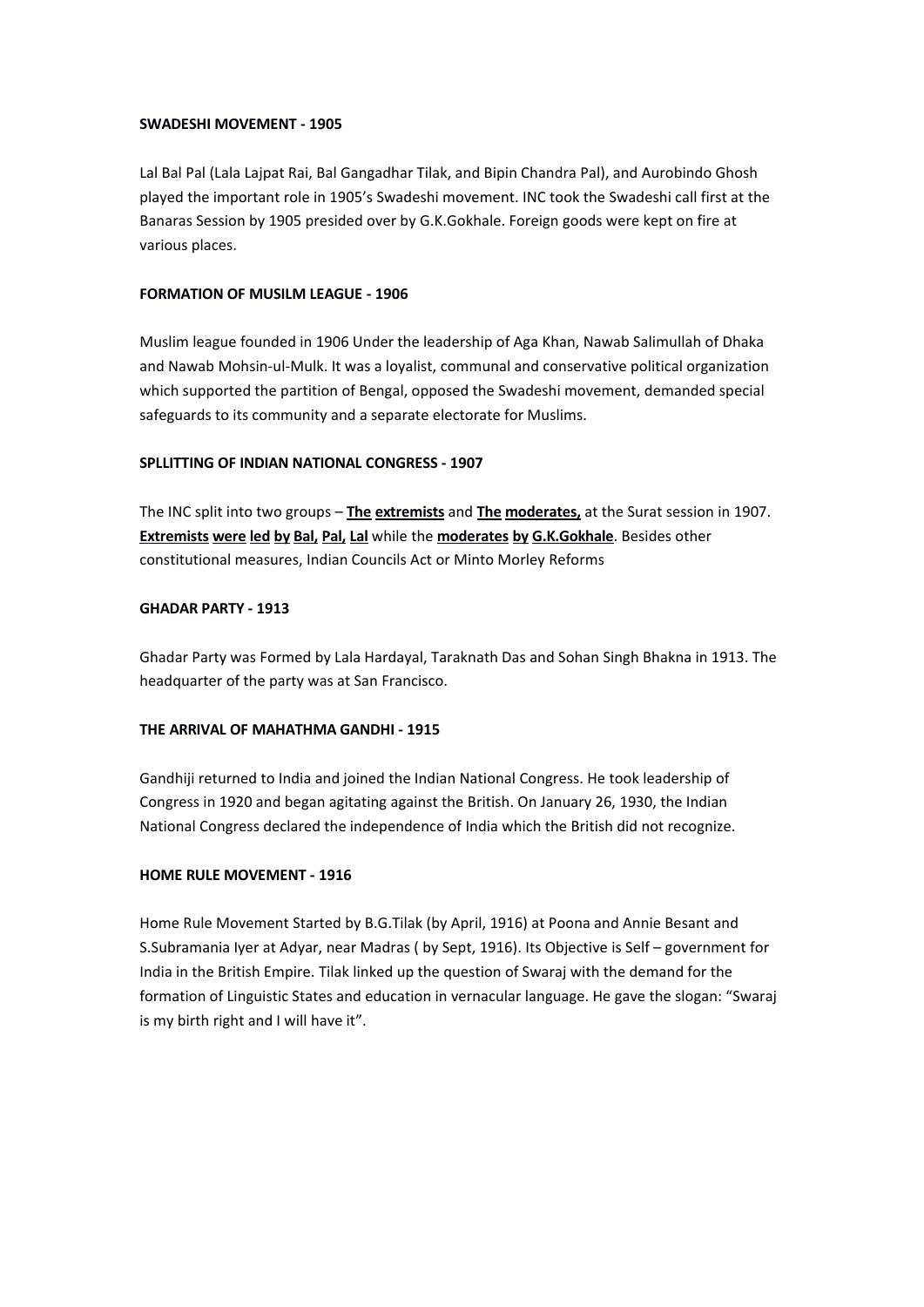## **SWADESHI MOVEMENT - 1905**

Lal Bal Pal (Lala Lajpat Rai, Bal Gangadhar Tilak, and Bipin Chandra Pal), and Aurobindo Ghosh played the important role in 1905's Swadeshi movement. INC took the Swadeshi call first at the Banaras Session by 1905 presided over by G.K.Gokhale. Foreign goods were kept on fire at various places.

# **FORMATION OF MUSILM LEAGUE - 1906**

Muslim league founded in 1906 Under the leadership of Aga Khan, Nawab Salimullah of Dhaka and Nawab Mohsin-ul-Mulk. It was a loyalist, communal and conservative political organization which supported the partition of Bengal, opposed the Swadeshi movement, demanded special safeguards to its community and a separate electorate for Muslims.

# **SPLLITTING OF INDIAN NATIONALCONGRESS - 1907**

The INC split into two groups – **The extremists** and **The moderates,** at the Surat session in 1907. **Extremists were led byBal, Pal, Lal** while the **moderates by G.K.Gokhale**. Besides other constitutional measures, Indian Councils Act or Minto Morley Reforms

# **GHADAR PARTY - 1913**

Ghadar Party was Formed by Lala Hardayal, Taraknath Das and Sohan Singh Bhakna in 1913. The headquarter of the party was at San Francisco.

## **THE ARRIVAL OF MAHATHMA GANDHI - 1915**

Gandhiji returned to India and joined the Indian National Congress. He took leadership of Congress in 1920 and began agitating against the British. On January 26, 1930, the Indian National Congress declared the independence of India which the British did not recognize.

# **HOME RULE MOVEMENT - 1916**

Home Rule Movement Started by B.G.Tilak (by April,1916) at Poona and Annie Besant and S.Subramania Iyer at Adyar, near Madras ( by Sept, 1916). Its Objective is Self – government for India in the British Empire. Tilak linked up the question of Swaraj with the demand for the formation of Linguistic States and education in vernacular language. He gave the slogan: "Swaraj is my birth right and I will have it".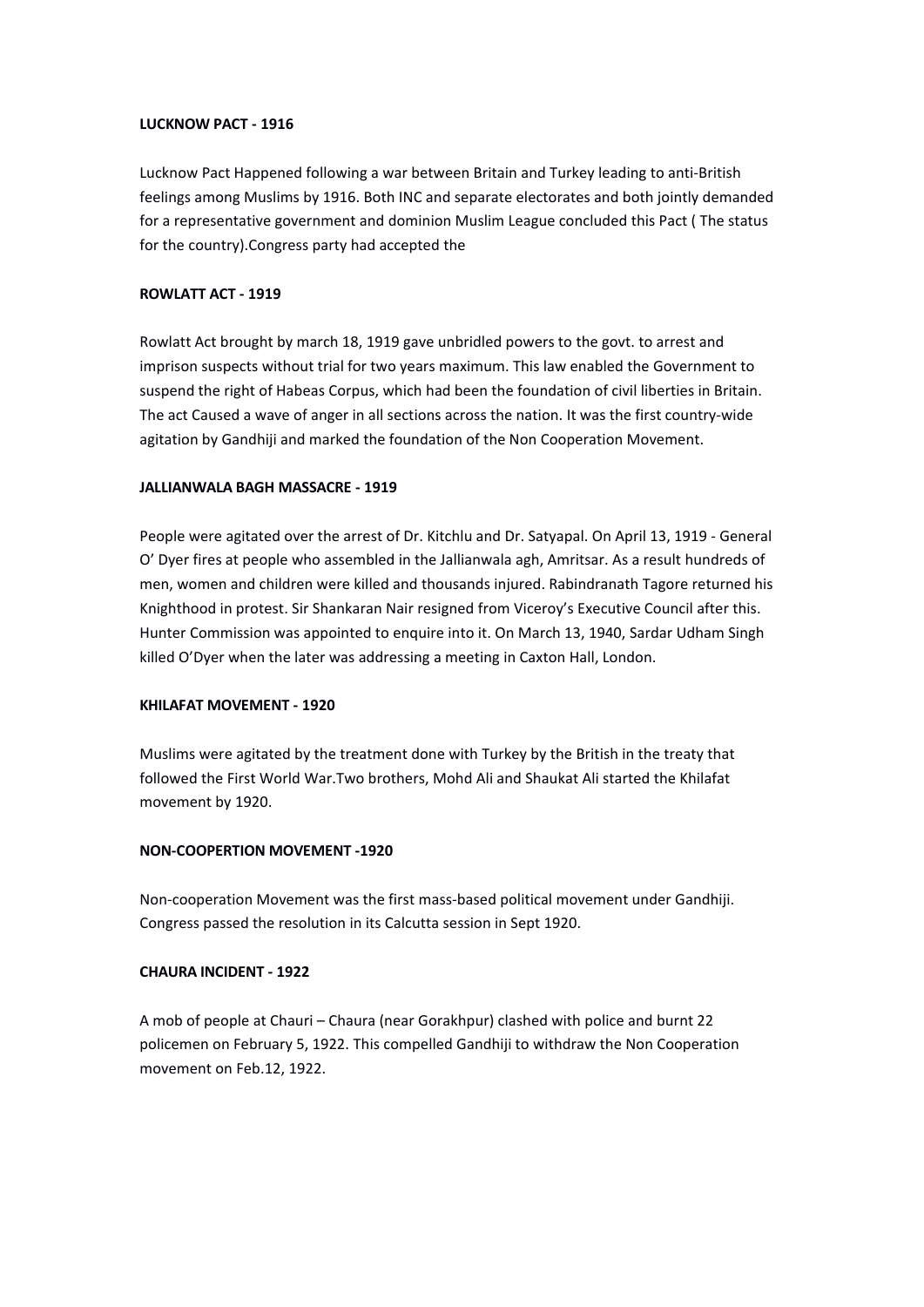## **LUCKNOW PACT - 1916**

Lucknow Pact Happened following a war between Britain and Turkey leading to anti-British feelings among Muslims by 1916. Both INC and separate electorates and both jointly demanded for a representative government and dominion Muslim League concluded this Pact(The status for the country).Congress party had accepted the

#### **ROWLATT ACT - 1919**

Rowlatt Act brought by march 18, 1919 gave unbridled powers to the govt. to arrest and imprison suspects without trial for two years maximum. This law enabled the Government to suspend the right of Habeas Corpus, which had been the foundation of civil liberties in Britain. The act Caused a wave of anger in all sections across the nation. It was the first country-wide agitation by Gandhiji and marked the foundation of the Non Cooperation Movement.

#### **JALLIANWALA BAGH MASSACRE - 1919**

People were agitated over the arrest of Dr. Kitchlu and Dr. Satyapal. On April 13, 1919 - General O' Dyer fires at people who assembled in the Jallianwala agh, Amritsar. As a result hundreds of men, women and children were killed and thousands injured. Rabindranath Tagore returned his Knighthood in protest. Sir Shankaran Nair resigned from Viceroy's Executive Council after this. Hunter Commission was appointed to enquire into it. On March 13, 1940, Sardar Udham Singh killed O'Dyer when the later was addressing a meeting in Caxton Hall, London.

#### **KHILAFAT MOVEMENT - 1920**

Muslims were agitated by the treatment done with Turkey by the British in the treaty that followed the First World War.Two brothers, Mohd Ali and Shaukat Ali started the Khilafat movement by 1920.

#### **NON-COOPERTION MOVEMENT -1920**

Non-cooperation Movement was the first mass-based political movement under Gandhiji. Congress passed the resolution in its Calcutta session in Sept 1920.

## **CHAURA INCIDENT - 1922**

A mob of people at Chauri – Chaura (near Gorakhpur) clashed with police and burnt 22 policemen on February 5, 1922. This compelled Gandhiji to withdraw the Non Cooperation movement on Feb.12, 1922.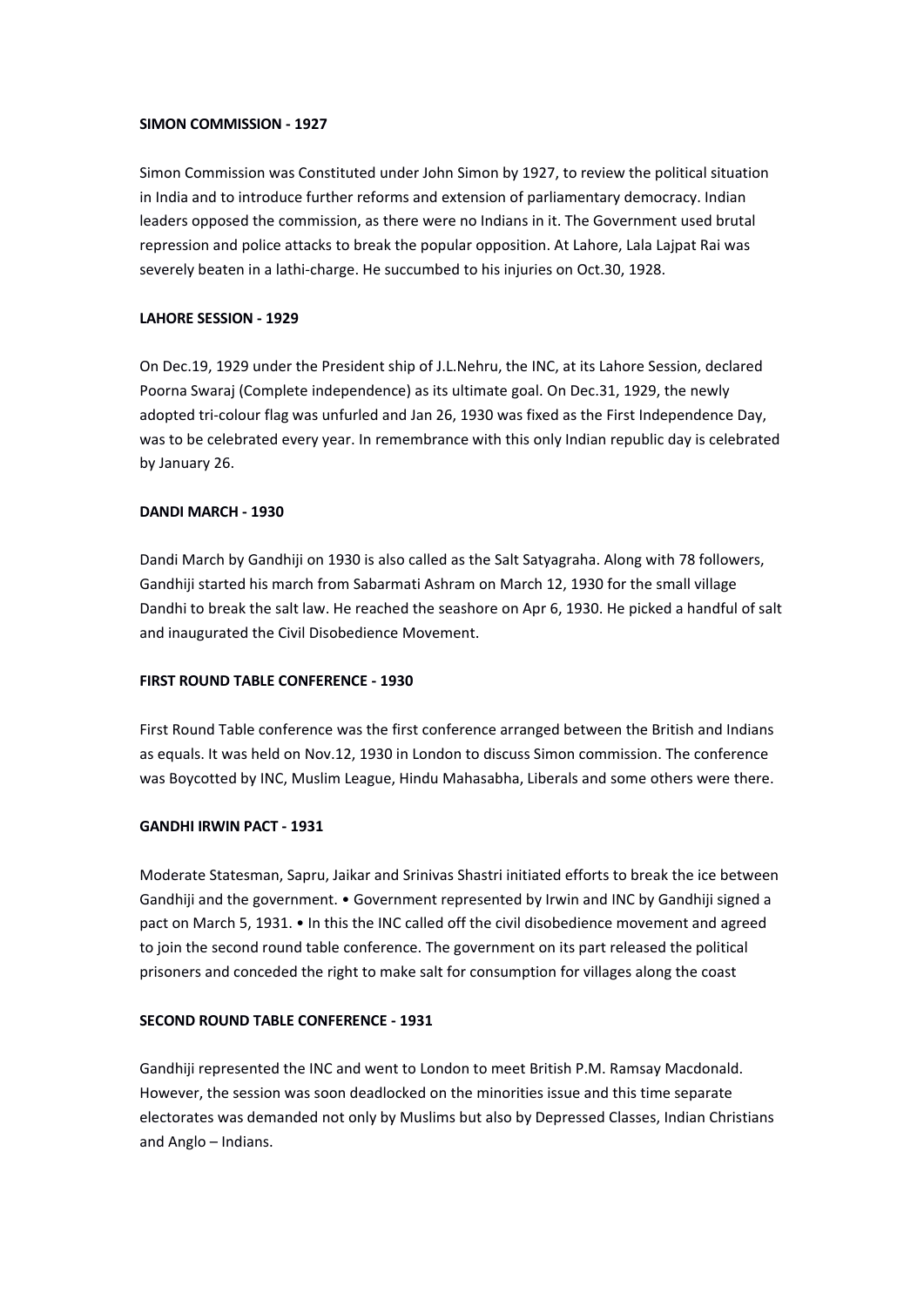#### **SIMON COMMISSION - 1927**

Simon Commission was Constituted under John Simon by 1927, to review the political situation in India and to introduce further reforms and extension of parliamentary democracy. Indian leaders opposed the commission, as there were no Indians in it.The Government used brutal repression and police attacks to break the popular opposition. At Lahore, Lala Lajpat Rai was severely beaten in a lathi-charge. He succumbed to his injuries on Oct.30, 1928.

#### **LAHORE SESSION - 1929**

On Dec.19, 1929 under the President ship of J.L.Nehru, the INC, at its Lahore Session, declared Poorna Swaraj (Complete independence) as its ultimate goal. On Dec.31, 1929, the newly adopted tri-colour flag was unfurled and Jan 26, 1930 was fixed as the First Independence Day, was to be celebrated every year. In remembrance with this only Indian republic day is celebrated by January 26.

#### **DANDI MARCH - 1930**

Dandi March by Gandhiji on 1930 is also called as the Salt Satyagraha. Along with 78 followers, Gandhiji started his march from Sabarmati Ashram on March 12, 1930 for the small village Dandhi to break the salt law. He reached the seashore on Apr 6, 1930. He picked a handful of salt and inaugurated the Civil Disobedience Movement.

#### **FIRST ROUND TABLE CONFERENCE - 1930**

First Round Table conference was the first conference arranged between the British and Indians as equals. It was held on Nov.12, 1930 in London to discuss Simon commission. The conference was Boycotted by INC, Muslim League, Hindu Mahasabha, Liberals and some others were there.

#### **GANDHI IRWIN PACT - 1931**

Moderate Statesman, Sapru, Jaikar and Srinivas Shastri initiated efforts to break the ice between Gandhiji and the government. • Government represented by Irwin and INC by Gandhiji signed a pact on March 5, 1931. • In this the INC called off the civil disobedience movement and agreed to join the second round table conference. The government on its part released the political prisoners and conceded the right to make salt for consumption for villages along the coast

#### **SECOND ROUND TABLECONFERENCE - 1931**

Gandhiji represented the INC and went to London to meet British P.M. Ramsay Macdonald. However, the session was soon deadlocked on the minorities issue and this time separate electorates was demanded not only by Muslims but also by Depressed Classes, Indian Christians and Anglo – Indians.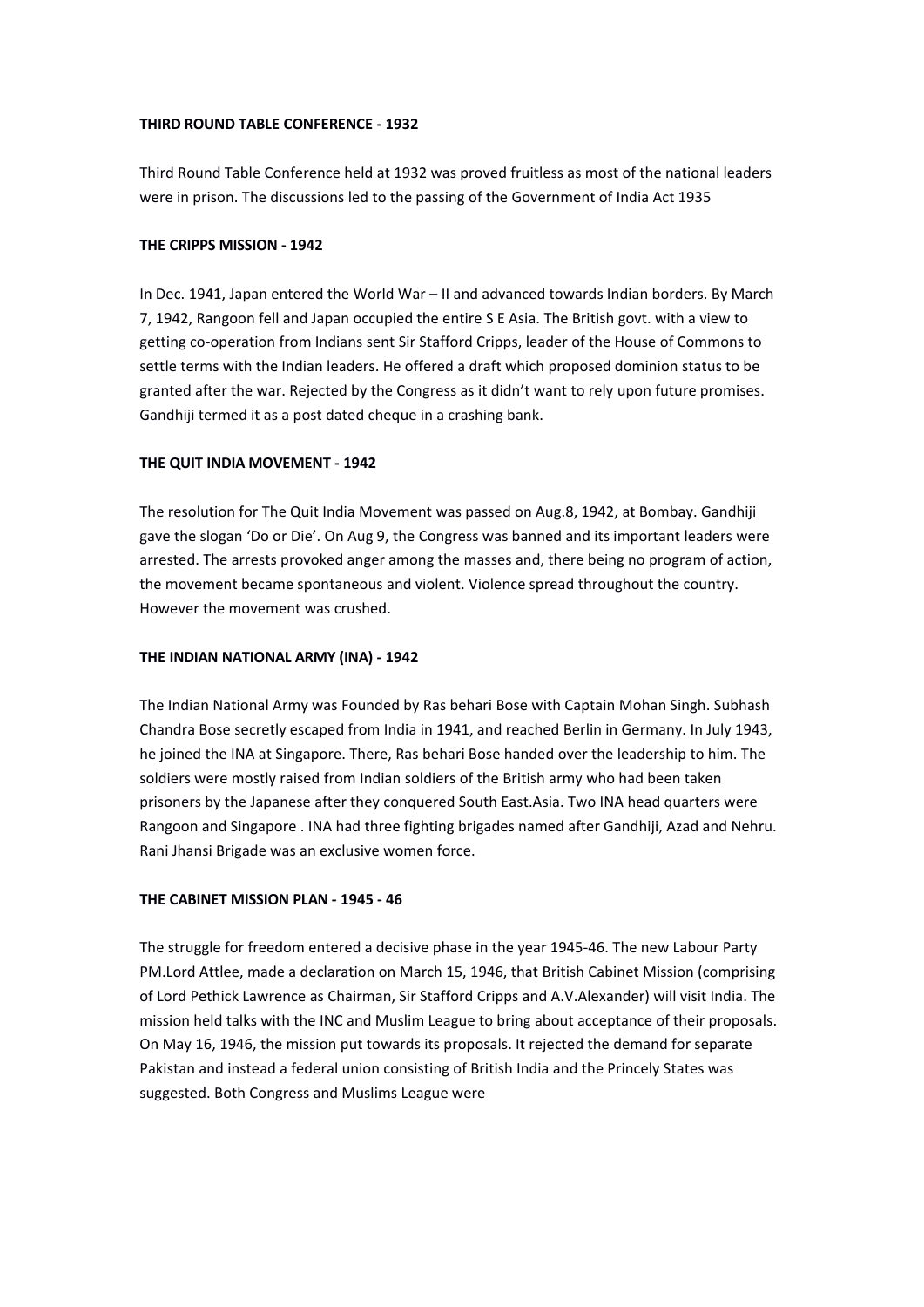## **THIRD ROUND TABLECONFERENCE - 1932**

Third Round Table Conference held at 1932 was proved fruitless as most of the national leaders were in prison. The discussions led to the passing of the Government of India Act 1935

# **THE CRIPPS MISSION - 1942**

In Dec. 1941, Japan entered the World War – II and advanced towards Indian borders. By March 7, 1942, Rangoon fell and Japan occupied the entire SE Asia. The British govt. with a view to getting co-operation from Indians sent Sir Stafford Cripps, leader of the House of Commons to settle terms with the Indian leaders. He offered a draft which proposed dominion status to be granted after the war. Rejected by the Congress as it didn't want to rely upon future promises. Gandhiji termed it as a post dated cheque in a crashing bank.

# **THE QUIT INDIA MOVEMENT - 1942**

The resolution for The Quit India Movement was passed on Aug.8, 1942, at Bombay. Gandhiji gave the slogan 'Do or Die'. On Aug 9, the Congress was banned and its important leaders were arrested. The arrests provoked anger among the masses and, there being no program of action, the movement became spontaneous and violent. Violence spread throughout the country. However the movement was crushed.

## **THE INDIAN NATIONAL ARMY (INA) - 1942**

The Indian National Army was Founded by Ras behari Bose with Captain Mohan Singh. Subhash Chandra Bose secretly escaped from India in 1941, and reached Berlin in Germany. In July 1943, he joined the INA at Singapore. There, Ras behari Bose handed over the leadership to him. The soldiers were mostly raised from Indian soldiers of the British army who had been taken prisoners by the Japanese after they conquered South East.Asia. Two INA head quarters were Rangoon and Singapore . INA had three fighting brigades named after Gandhiji, Azad and Nehru. Rani Jhansi Brigade was an exclusive women force.

# **THE CABINET MISSION PLAN - 1945 - 46**

The struggle for freedom entered a decisive phase in the year 1945-46. The new Labour Party PM.Lord Attlee, made a declaration on March 15, 1946, that British Cabinet Mission (comprising of Lord Pethick Lawrence as Chairman, Sir Stafford Cripps and A.V.Alexander) will visit India. The mission held talks with the INC and Muslim League to bring about acceptance of their proposals. On May 16, 1946, the mission put towards its proposals. It rejected the demand for separate Pakistan and instead a federal union consisting of British India and the Princely States was suggested. Both Congress and Muslims League were